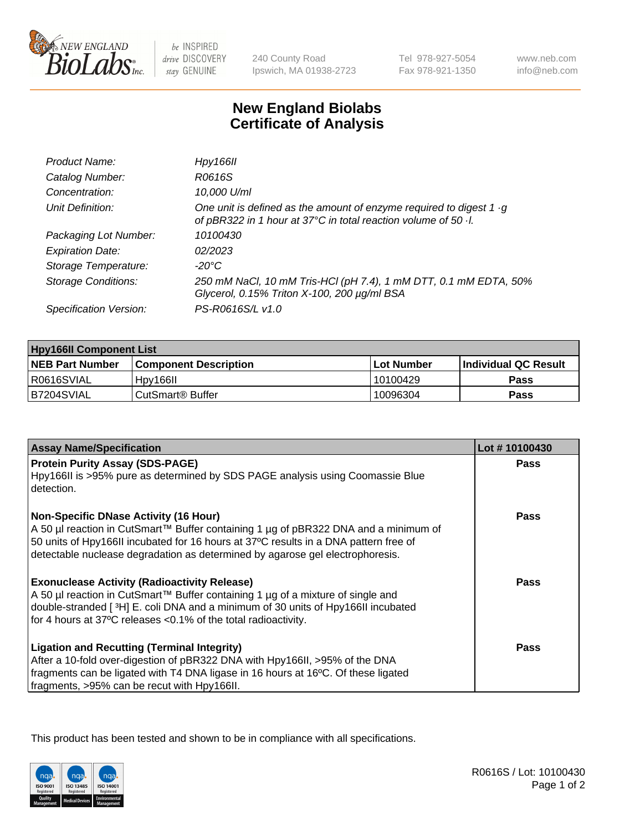

be INSPIRED drive DISCOVERY stay GENUINE

240 County Road Ipswich, MA 01938-2723 Tel 978-927-5054 Fax 978-921-1350

www.neb.com info@neb.com

## **New England Biolabs Certificate of Analysis**

| Product Name:              | Hpy166II                                                                                                                                      |
|----------------------------|-----------------------------------------------------------------------------------------------------------------------------------------------|
| Catalog Number:            | R0616S                                                                                                                                        |
| Concentration:             | 10,000 U/ml                                                                                                                                   |
| Unit Definition:           | One unit is defined as the amount of enzyme required to digest 1 $\cdot$ g<br>of pBR322 in 1 hour at 37°C in total reaction volume of 50 · l. |
| Packaging Lot Number:      | 10100430                                                                                                                                      |
| <b>Expiration Date:</b>    | 02/2023                                                                                                                                       |
| Storage Temperature:       | $-20^{\circ}$ C                                                                                                                               |
| <b>Storage Conditions:</b> | 250 mM NaCl, 10 mM Tris-HCl (pH 7.4), 1 mM DTT, 0.1 mM EDTA, 50%<br>Glycerol, 0.15% Triton X-100, 200 µg/ml BSA                               |
| Specification Version:     | PS-R0616S/L v1.0                                                                                                                              |

| <b>Hpy166II Component List</b> |                         |             |                             |  |
|--------------------------------|-------------------------|-------------|-----------------------------|--|
| <b>NEB Part Number</b>         | l Component Description | ⊺Lot Number | <b>Individual QC Result</b> |  |
| I R0616SVIAL                   | Hpy166II                | 10100429    | Pass                        |  |
| B7204SVIAL                     | l CutSmart® Buffer_     | 10096304    | Pass                        |  |

| <b>Assay Name/Specification</b>                                                                                                                                             | Lot #10100430 |
|-----------------------------------------------------------------------------------------------------------------------------------------------------------------------------|---------------|
| <b>Protein Purity Assay (SDS-PAGE)</b><br>Hpy166II is >95% pure as determined by SDS PAGE analysis using Coomassie Blue                                                     | <b>Pass</b>   |
| detection.                                                                                                                                                                  |               |
| <b>Non-Specific DNase Activity (16 Hour)</b>                                                                                                                                | <b>Pass</b>   |
| A 50 µl reaction in CutSmart™ Buffer containing 1 µg of pBR322 DNA and a minimum of<br>50 units of Hpy166II incubated for 16 hours at 37°C results in a DNA pattern free of |               |
| detectable nuclease degradation as determined by agarose gel electrophoresis.                                                                                               |               |
| <b>Exonuclease Activity (Radioactivity Release)</b>                                                                                                                         | <b>Pass</b>   |
| A 50 µl reaction in CutSmart™ Buffer containing 1 µg of a mixture of single and                                                                                             |               |
| double-stranded [3H] E. coli DNA and a minimum of 30 units of Hpy166II incubated<br>for 4 hours at 37°C releases <0.1% of the total radioactivity.                          |               |
| <b>Ligation and Recutting (Terminal Integrity)</b>                                                                                                                          | Pass          |
| After a 10-fold over-digestion of pBR322 DNA with Hpy166II, >95% of the DNA<br>fragments can be ligated with T4 DNA ligase in 16 hours at 16°C. Of these ligated            |               |
| fragments, >95% can be recut with Hpy166II.                                                                                                                                 |               |

This product has been tested and shown to be in compliance with all specifications.